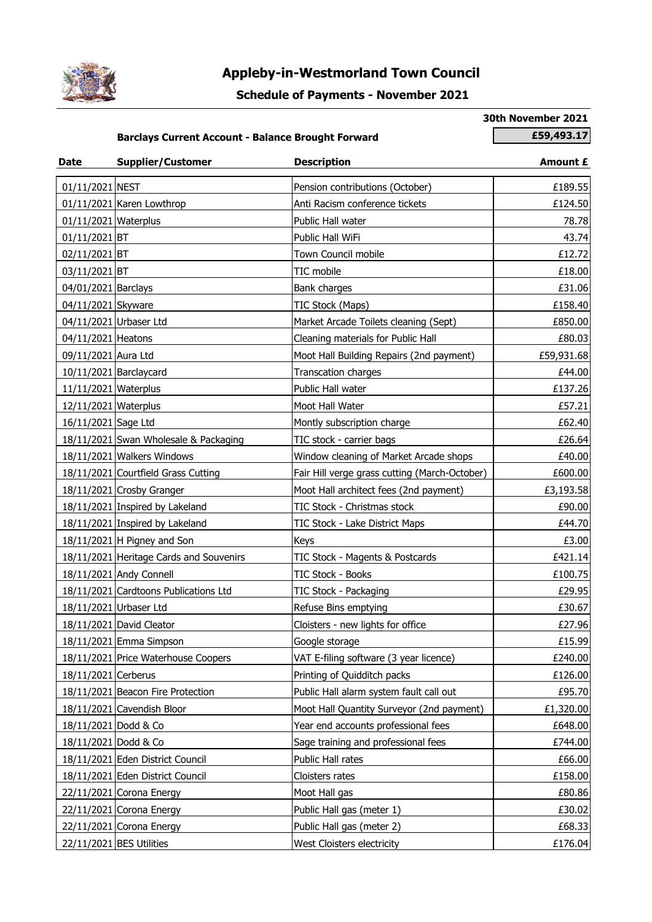

## **Appleby-in-Westmorland Town Council**

## **Schedule of Payments - November 2021**

**30th November 2021**

## **Barclays Current Account - Balance Brought Forward <b>1998 1998 1998 1998 1998 1998 1999 1999 1999 1999 1999 1999 1999 1999 1999 1999 1999 1999 1999 1999 1999 1999 1999 1999 1**

| <b>Date</b>          | <b>Supplier/Customer</b>                | <b>Description</b>                            | Amount £   |
|----------------------|-----------------------------------------|-----------------------------------------------|------------|
| 01/11/2021 NEST      |                                         | Pension contributions (October)               | £189.55    |
|                      | 01/11/2021 Karen Lowthrop               | Anti Racism conference tickets                | £124.50    |
| 01/11/2021 Waterplus |                                         | Public Hall water                             | 78.78      |
| 01/11/2021 BT        |                                         | Public Hall WiFi                              | 43.74      |
| 02/11/2021 BT        |                                         | Town Council mobile                           | £12.72     |
| 03/11/2021 BT        |                                         | TIC mobile                                    | £18.00     |
| 04/01/2021 Barclays  |                                         | Bank charges                                  | £31.06     |
| 04/11/2021 Skyware   |                                         | TIC Stock (Maps)                              | £158.40    |
|                      | 04/11/2021 Urbaser Ltd                  | Market Arcade Toilets cleaning (Sept)         | £850.00    |
| 04/11/2021 Heatons   |                                         | Cleaning materials for Public Hall            | £80.03     |
| 09/11/2021 Aura Ltd  |                                         | Moot Hall Building Repairs (2nd payment)      | £59,931.68 |
|                      | 10/11/2021 Barclaycard                  | Transcation charges                           | £44.00     |
| 11/11/2021 Waterplus |                                         | Public Hall water                             | £137.26    |
| 12/11/2021 Waterplus |                                         | Moot Hall Water                               | £57.21     |
| 16/11/2021 Sage Ltd  |                                         | Montly subscription charge                    | £62.40     |
|                      | 18/11/2021 Swan Wholesale & Packaging   | TIC stock - carrier bags                      | £26.64     |
|                      | 18/11/2021 Walkers Windows              | Window cleaning of Market Arcade shops        | £40.00     |
|                      | 18/11/2021 Courtfield Grass Cutting     | Fair Hill verge grass cutting (March-October) | £600.00    |
|                      | 18/11/2021 Crosby Granger               | Moot Hall architect fees (2nd payment)        | £3,193.58  |
|                      | 18/11/2021 Inspired by Lakeland         | TIC Stock - Christmas stock                   | £90.00     |
|                      | 18/11/2021 Inspired by Lakeland         | TIC Stock - Lake District Maps                | £44.70     |
|                      | 18/11/2021   H Pigney and Son           | Keys                                          | £3.00      |
|                      | 18/11/2021 Heritage Cards and Souvenirs | TIC Stock - Magents & Postcards               | £421.14    |
|                      | 18/11/2021 Andy Connell                 | TIC Stock - Books                             | £100.75    |
|                      | 18/11/2021 Cardtoons Publications Ltd   | TIC Stock - Packaging                         | £29.95     |
|                      | 18/11/2021 Urbaser Ltd                  | Refuse Bins emptying                          | £30.67     |
|                      | 18/11/2021 David Cleator                | Cloisters - new lights for office             | £27.96     |
|                      | 18/11/2021 Emma Simpson                 | Google storage                                | £15.99     |
|                      | 18/11/2021 Price Waterhouse Coopers     | VAT E-filing software (3 year licence)        | £240.00    |
| 18/11/2021 Cerberus  |                                         | Printing of Quidditch packs                   | £126.00    |
|                      | 18/11/2021 Beacon Fire Protection       | Public Hall alarm system fault call out       | £95.70     |
|                      | 18/11/2021 Cavendish Bloor              | Moot Hall Quantity Surveyor (2nd payment)     | £1,320.00  |
| 18/11/2021 Dodd & Co |                                         | Year end accounts professional fees           | £648.00    |
| 18/11/2021 Dodd & Co |                                         | Sage training and professional fees           | £744.00    |
|                      | 18/11/2021 Eden District Council        | Public Hall rates                             | £66.00     |
|                      | 18/11/2021 Eden District Council        | Cloisters rates                               | £158.00    |
|                      | 22/11/2021 Corona Energy                | Moot Hall gas                                 | £80.86     |
|                      | 22/11/2021 Corona Energy                | Public Hall gas (meter 1)                     | £30.02     |
|                      | 22/11/2021 Corona Energy                | Public Hall gas (meter 2)                     | £68.33     |
|                      | 22/11/2021 BES Utilities                | West Cloisters electricity                    | £176.04    |